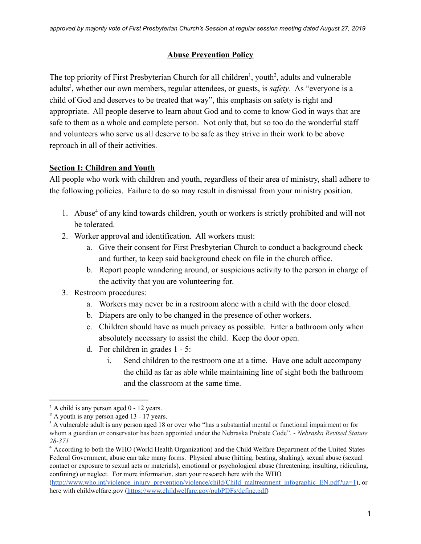## **Abuse Prevention Policy**

The top priority of First Presbyterian Church for all children<sup>1</sup>, youth<sup>2</sup>, adults and vulnerable adults<sup>3</sup>, whether our own members, regular attendees, or guests, is *safety*. As "everyone is a child of God and deserves to be treated that way", this emphasis on safety is right and appropriate. All people deserve to learn about God and to come to know God in ways that are safe to them as a whole and complete person. Not only that, but so too do the wonderful staff and volunteers who serve us all deserve to be safe as they strive in their work to be above reproach in all of their activities.

## **Section I: Children and Youth**

All people who work with children and youth, regardless of their area of ministry, shall adhere to the following policies. Failure to do so may result in dismissal from your ministry position.

- 1. Abuse<sup>4</sup> of any kind towards children, youth or workers is strictly prohibited and will not be tolerated.
- 2. Worker approval and identification. All workers must:
	- a. Give their consent for First Presbyterian Church to conduct a background check and further, to keep said background check on file in the church office.
	- b. Report people wandering around, or suspicious activity to the person in charge of the activity that you are volunteering for.
- 3. Restroom procedures:
	- a. Workers may never be in a restroom alone with a child with the door closed.
	- b. Diapers are only to be changed in the presence of other workers.
	- c. Children should have as much privacy as possible. Enter a bathroom only when absolutely necessary to assist the child. Keep the door open.
	- d. For children in grades 1 5:
		- i. Send children to the restroom one at a time. Have one adult accompany the child as far as able while maintaining line of sight both the bathroom and the classroom at the same time.

 $<sup>1</sup>$  A child is any person aged 0 - 12 years.</sup>

<sup>&</sup>lt;sup>2</sup> A youth is any person aged 13 - 17 years.

<sup>&</sup>lt;sup>3</sup> A vulnerable adult is any person aged 18 or over who "has a substantial mental or functional impairment or for whom a guardian or conservator has been appointed under the Nebraska Probate Code". - *Nebraska Revised Statute 28-371*

<sup>4</sup> According to both the WHO (World Health Organization) and the Child Welfare Department of the United States Federal Government, abuse can take many forms. Physical abuse (hitting, beating, shaking), sexual abuse (sexual contact or exposure to sexual acts or materials), emotional or psychological abuse (threatening, insulting, ridiculing, confining) or neglect. For more information, start your research here with the WHO

[<sup>\(</sup>http://www.who.int/violence\\_injury\\_prevention/violence/child/Child\\_maltreatment\\_infographic\\_EN.pdf?ua=1](http://www.who.int/violence_injury_prevention/violence/child/Child_maltreatment_infographic_EN.pdf?ua=1)), or here with childwelfare.gov [\(https://www.childwelfare.gov/pubPDFs/define.pdf\)](https://www.childwelfare.gov/pubPDFs/define.pdf)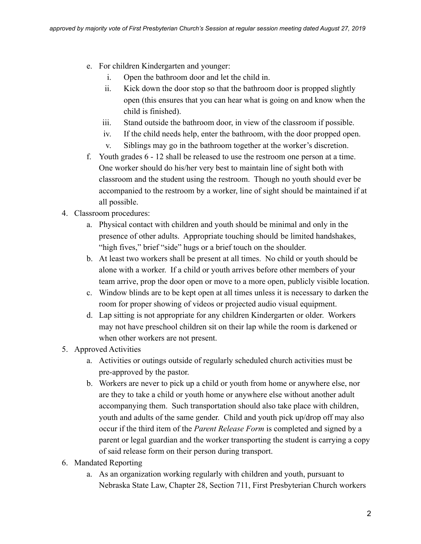- e. For children Kindergarten and younger:
	- i. Open the bathroom door and let the child in.
	- ii. Kick down the door stop so that the bathroom door is propped slightly open (this ensures that you can hear what is going on and know when the child is finished).
	- iii. Stand outside the bathroom door, in view of the classroom if possible.
	- iv. If the child needs help, enter the bathroom, with the door propped open.
	- v. Siblings may go in the bathroom together at the worker's discretion.
- f. Youth grades 6 12 shall be released to use the restroom one person at a time. One worker should do his/her very best to maintain line of sight both with classroom and the student using the restroom. Though no youth should ever be accompanied to the restroom by a worker, line of sight should be maintained if at all possible.
- 4. Classroom procedures:
	- a. Physical contact with children and youth should be minimal and only in the presence of other adults. Appropriate touching should be limited handshakes, "high fives," brief "side" hugs or a brief touch on the shoulder.
	- b. At least two workers shall be present at all times. No child or youth should be alone with a worker. If a child or youth arrives before other members of your team arrive, prop the door open or move to a more open, publicly visible location.
	- c. Window blinds are to be kept open at all times unless it is necessary to darken the room for proper showing of videos or projected audio visual equipment.
	- d. Lap sitting is not appropriate for any children Kindergarten or older. Workers may not have preschool children sit on their lap while the room is darkened or when other workers are not present.
- 5. Approved Activities
	- a. Activities or outings outside of regularly scheduled church activities must be pre-approved by the pastor.
	- b. Workers are never to pick up a child or youth from home or anywhere else, nor are they to take a child or youth home or anywhere else without another adult accompanying them. Such transportation should also take place with children, youth and adults of the same gender. Child and youth pick up/drop off may also occur if the third item of the *Parent Release Form* is completed and signed by a parent or legal guardian and the worker transporting the student is carrying a copy of said release form on their person during transport.
- 6. Mandated Reporting
	- a. As an organization working regularly with children and youth, pursuant to Nebraska State Law, Chapter 28, Section 711, First Presbyterian Church workers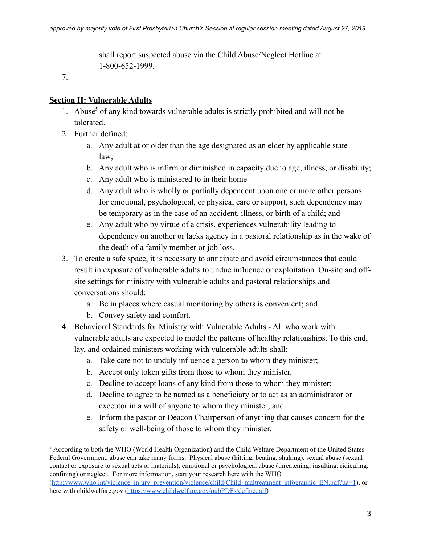shall report suspected abuse via the Child Abuse/Neglect Hotline at 1-800-652-1999.

7.

## **Section II: Vulnerable Adults**

- 1. Abuse<sup>5</sup> of any kind towards vulnerable adults is strictly prohibited and will not be tolerated.
- 2. Further defined:
	- a. Any adult at or older than the age designated as an elder by applicable state law;
	- b. Any adult who is infirm or diminished in capacity due to age, illness, or disability;
	- c. Any adult who is ministered to in their home
	- d. Any adult who is wholly or partially dependent upon one or more other persons for emotional, psychological, or physical care or support, such dependency may be temporary as in the case of an accident, illness, or birth of a child; and
	- e. Any adult who by virtue of a crisis, experiences vulnerability leading to dependency on another or lacks agency in a pastoral relationship as in the wake of the death of a family member or job loss.
- 3. To create a safe space, it is necessary to anticipate and avoid circumstances that could result in exposure of vulnerable adults to undue influence or exploitation. On-site and offsite settings for ministry with vulnerable adults and pastoral relationships and conversations should:
	- a. Be in places where casual monitoring by others is convenient; and
	- b. Convey safety and comfort.
- 4. Behavioral Standards for Ministry with Vulnerable Adults All who work with vulnerable adults are expected to model the patterns of healthy relationships. To this end, lay, and ordained ministers working with vulnerable adults shall:
	- a. Take care not to unduly influence a person to whom they minister;
	- b. Accept only token gifts from those to whom they minister.
	- c. Decline to accept loans of any kind from those to whom they minister;
	- d. Decline to agree to be named as a beneficiary or to act as an administrator or executor in a will of anyone to whom they minister; and
	- e. Inform the pastor or Deacon Chairperson of anything that causes concern for the safety or well-being of those to whom they minister.

<sup>5</sup> According to both the WHO (World Health Organization) and the Child Welfare Department of the United States Federal Government, abuse can take many forms. Physical abuse (hitting, beating, shaking), sexual abuse (sexual contact or exposure to sexual acts or materials), emotional or psychological abuse (threatening, insulting, ridiculing, confining) or neglect. For more information, start your research here with the WHO [\(http://www.who.int/violence\\_injury\\_prevention/violence/child/Child\\_maltreatment\\_infographic\\_EN.pdf?ua=1](http://www.who.int/violence_injury_prevention/violence/child/Child_maltreatment_infographic_EN.pdf?ua=1)), or here with childwelfare.gov [\(https://www.childwelfare.gov/pubPDFs/define.pdf\)](https://www.childwelfare.gov/pubPDFs/define.pdf)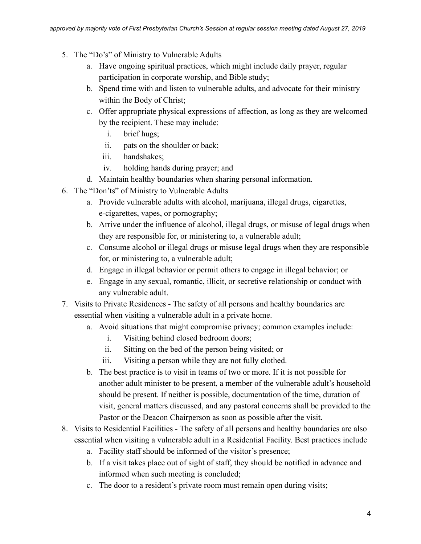- 5. The "Do's" of Ministry to Vulnerable Adults
	- a. Have ongoing spiritual practices, which might include daily prayer, regular participation in corporate worship, and Bible study;
	- b. Spend time with and listen to vulnerable adults, and advocate for their ministry within the Body of Christ;
	- c. Offer appropriate physical expressions of affection, as long as they are welcomed by the recipient. These may include:
		- i. brief hugs;
		- ii. pats on the shoulder or back;
		- iii. handshakes;
		- iv. holding hands during prayer; and
	- d. Maintain healthy boundaries when sharing personal information.
- 6. The "Don'ts" of Ministry to Vulnerable Adults
	- a. Provide vulnerable adults with alcohol, marijuana, illegal drugs, cigarettes, e-cigarettes, vapes, or pornography;
	- b. Arrive under the influence of alcohol, illegal drugs, or misuse of legal drugs when they are responsible for, or ministering to, a vulnerable adult;
	- c. Consume alcohol or illegal drugs or misuse legal drugs when they are responsible for, or ministering to, a vulnerable adult;
	- d. Engage in illegal behavior or permit others to engage in illegal behavior; or
	- e. Engage in any sexual, romantic, illicit, or secretive relationship or conduct with any vulnerable adult.
- 7. Visits to Private Residences The safety of all persons and healthy boundaries are essential when visiting a vulnerable adult in a private home.
	- a. Avoid situations that might compromise privacy; common examples include:
		- i. Visiting behind closed bedroom doors;
		- ii. Sitting on the bed of the person being visited; or
		- iii. Visiting a person while they are not fully clothed.
	- b. The best practice is to visit in teams of two or more. If it is not possible for another adult minister to be present, a member of the vulnerable adult's household should be present. If neither is possible, documentation of the time, duration of visit, general matters discussed, and any pastoral concerns shall be provided to the Pastor or the Deacon Chairperson as soon as possible after the visit.
- 8. Visits to Residential Facilities The safety of all persons and healthy boundaries are also essential when visiting a vulnerable adult in a Residential Facility. Best practices include
	- a. Facility staff should be informed of the visitor's presence;
	- b. If a visit takes place out of sight of staff, they should be notified in advance and informed when such meeting is concluded;
	- c. The door to a resident's private room must remain open during visits;